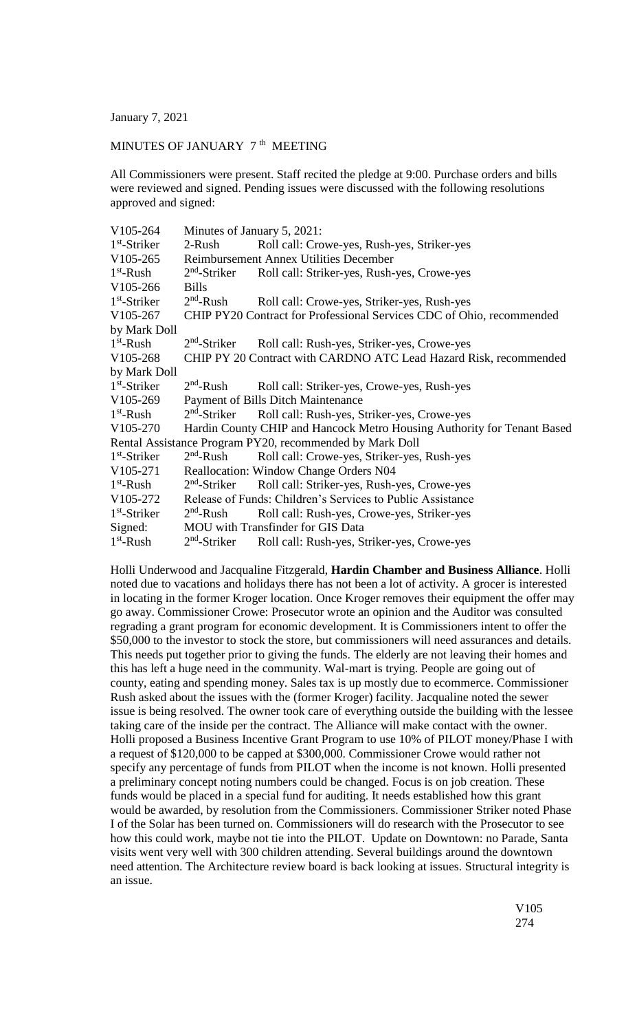January 7, 2021

## MINUTES OF JANUARY  $7<sup>th</sup>$  MEETING

All Commissioners were present. Staff recited the pledge at 9:00. Purchase orders and bills were reviewed and signed. Pending issues were discussed with the following resolutions approved and signed:

| V105-264       | Minutes of January 5, 2021:                                           |                                                                         |
|----------------|-----------------------------------------------------------------------|-------------------------------------------------------------------------|
| $1st$ -Striker | 2-Rush                                                                | Roll call: Crowe-yes, Rush-yes, Striker-yes                             |
| V105-265       | <b>Reimbursement Annex Utilities December</b>                         |                                                                         |
| $1st$ -Rush    | $2nd$ -Striker                                                        | Roll call: Striker-yes, Rush-yes, Crowe-yes                             |
| V105-266       | <b>Bills</b>                                                          |                                                                         |
| $1st$ -Striker | $2nd$ -Rush                                                           | Roll call: Crowe-yes, Striker-yes, Rush-yes                             |
| V105-267       | CHIP PY20 Contract for Professional Services CDC of Ohio, recommended |                                                                         |
| by Mark Doll   |                                                                       |                                                                         |
| $1st$ -Rush    | $2nd$ -Striker                                                        | Roll call: Rush-yes, Striker-yes, Crowe-yes                             |
| V105-268       | CHIP PY 20 Contract with CARDNO ATC Lead Hazard Risk, recommended     |                                                                         |
| by Mark Doll   |                                                                       |                                                                         |
| $1st$ -Striker | $2nd$ -Rush                                                           | Roll call: Striker-yes, Crowe-yes, Rush-yes                             |
| V105-269       | Payment of Bills Ditch Maintenance                                    |                                                                         |
| $1st$ -Rush    | $2nd$ -Striker                                                        | Roll call: Rush-yes, Striker-yes, Crowe-yes                             |
| V105-270       |                                                                       | Hardin County CHIP and Hancock Metro Housing Authority for Tenant Based |
|                |                                                                       | Rental Assistance Program PY20, recommended by Mark Doll                |
| $1st$ -Striker | $2nd$ -Rush                                                           | Roll call: Crowe-yes, Striker-yes, Rush-yes                             |
| V105-271       | <b>Reallocation: Window Change Orders N04</b>                         |                                                                         |
| $1st$ -Rush    | $2nd$ -Striker                                                        | Roll call: Striker-yes, Rush-yes, Crowe-yes                             |
| V105-272       | Release of Funds: Children's Services to Public Assistance            |                                                                         |
| $1st$ -Striker | $2nd$ -Rush                                                           | Roll call: Rush-yes, Crowe-yes, Striker-yes                             |
| Signed:        | MOU with Transfinder for GIS Data                                     |                                                                         |
| $1st$ -Rush    | $2nd$ -Striker                                                        | Roll call: Rush-yes, Striker-yes, Crowe-yes                             |

Holli Underwood and Jacqualine Fitzgerald, **Hardin Chamber and Business Alliance**. Holli noted due to vacations and holidays there has not been a lot of activity. A grocer is interested in locating in the former Kroger location. Once Kroger removes their equipment the offer may go away. Commissioner Crowe: Prosecutor wrote an opinion and the Auditor was consulted regrading a grant program for economic development. It is Commissioners intent to offer the \$50,000 to the investor to stock the store, but commissioners will need assurances and details. This needs put together prior to giving the funds. The elderly are not leaving their homes and this has left a huge need in the community. Wal-mart is trying. People are going out of county, eating and spending money. Sales tax is up mostly due to ecommerce. Commissioner Rush asked about the issues with the (former Kroger) facility. Jacqualine noted the sewer issue is being resolved. The owner took care of everything outside the building with the lessee taking care of the inside per the contract. The Alliance will make contact with the owner. Holli proposed a Business Incentive Grant Program to use 10% of PILOT money/Phase I with a request of \$120,000 to be capped at \$300,000. Commissioner Crowe would rather not specify any percentage of funds from PILOT when the income is not known. Holli presented a preliminary concept noting numbers could be changed. Focus is on job creation. These funds would be placed in a special fund for auditing. It needs established how this grant would be awarded, by resolution from the Commissioners. Commissioner Striker noted Phase I of the Solar has been turned on. Commissioners will do research with the Prosecutor to see how this could work, maybe not tie into the PILOT. Update on Downtown: no Parade, Santa visits went very well with 300 children attending. Several buildings around the downtown need attention. The Architecture review board is back looking at issues. Structural integrity is an issue.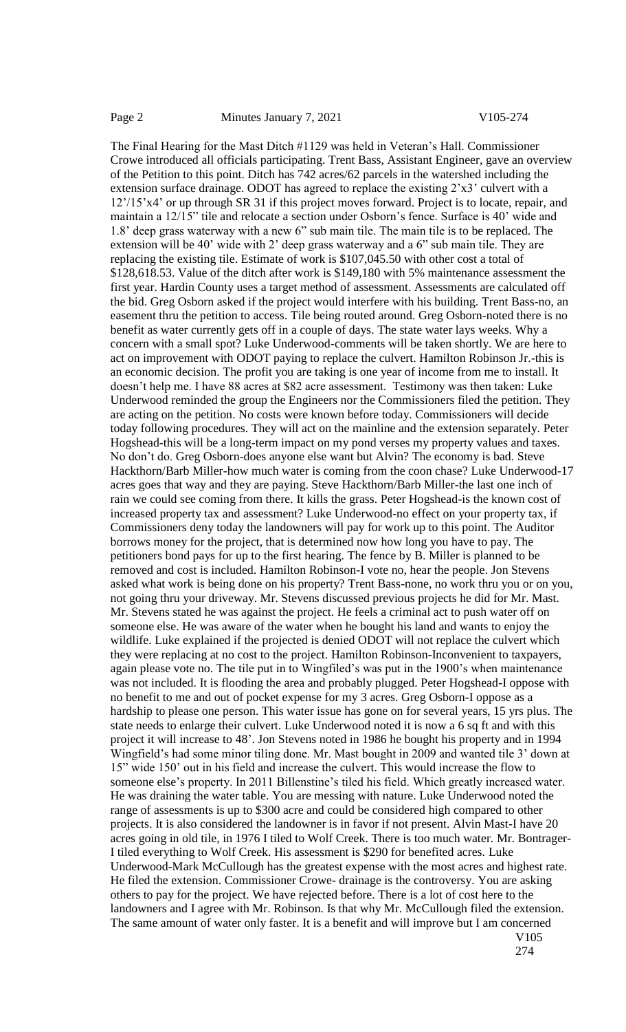The Final Hearing for the Mast Ditch #1129 was held in Veteran's Hall. Commissioner Crowe introduced all officials participating. Trent Bass, Assistant Engineer, gave an overview of the Petition to this point. Ditch has 742 acres/62 parcels in the watershed including the extension surface drainage. ODOT has agreed to replace the existing 2'x3' culvert with a 12'/15'x4' or up through SR 31 if this project moves forward. Project is to locate, repair, and maintain a 12/15" tile and relocate a section under Osborn's fence. Surface is 40' wide and 1.8' deep grass waterway with a new 6" sub main tile. The main tile is to be replaced. The extension will be 40' wide with 2' deep grass waterway and a 6" sub main tile. They are replacing the existing tile. Estimate of work is \$107,045.50 with other cost a total of \$128,618.53. Value of the ditch after work is \$149,180 with 5% maintenance assessment the first year. Hardin County uses a target method of assessment. Assessments are calculated off the bid. Greg Osborn asked if the project would interfere with his building. Trent Bass-no, an easement thru the petition to access. Tile being routed around. Greg Osborn-noted there is no benefit as water currently gets off in a couple of days. The state water lays weeks. Why a concern with a small spot? Luke Underwood-comments will be taken shortly. We are here to act on improvement with ODOT paying to replace the culvert. Hamilton Robinson Jr.-this is an economic decision. The profit you are taking is one year of income from me to install. It doesn't help me. I have 88 acres at \$82 acre assessment. Testimony was then taken: Luke Underwood reminded the group the Engineers nor the Commissioners filed the petition. They are acting on the petition. No costs were known before today. Commissioners will decide today following procedures. They will act on the mainline and the extension separately. Peter Hogshead-this will be a long-term impact on my pond verses my property values and taxes. No don't do. Greg Osborn-does anyone else want but Alvin? The economy is bad. Steve Hackthorn/Barb Miller-how much water is coming from the coon chase? Luke Underwood-17 acres goes that way and they are paying. Steve Hackthorn/Barb Miller-the last one inch of rain we could see coming from there. It kills the grass. Peter Hogshead-is the known cost of increased property tax and assessment? Luke Underwood-no effect on your property tax, if Commissioners deny today the landowners will pay for work up to this point. The Auditor borrows money for the project, that is determined now how long you have to pay. The petitioners bond pays for up to the first hearing. The fence by B. Miller is planned to be removed and cost is included. Hamilton Robinson-I vote no, hear the people. Jon Stevens asked what work is being done on his property? Trent Bass-none, no work thru you or on you, not going thru your driveway. Mr. Stevens discussed previous projects he did for Mr. Mast. Mr. Stevens stated he was against the project. He feels a criminal act to push water off on someone else. He was aware of the water when he bought his land and wants to enjoy the wildlife. Luke explained if the projected is denied ODOT will not replace the culvert which they were replacing at no cost to the project. Hamilton Robinson-Inconvenient to taxpayers, again please vote no. The tile put in to Wingfiled's was put in the 1900's when maintenance was not included. It is flooding the area and probably plugged. Peter Hogshead-I oppose with no benefit to me and out of pocket expense for my 3 acres. Greg Osborn-I oppose as a hardship to please one person. This water issue has gone on for several years, 15 yrs plus. The state needs to enlarge their culvert. Luke Underwood noted it is now a 6 sq ft and with this project it will increase to 48'. Jon Stevens noted in 1986 he bought his property and in 1994 Wingfield's had some minor tiling done. Mr. Mast bought in 2009 and wanted tile 3' down at 15" wide 150' out in his field and increase the culvert. This would increase the flow to someone else's property. In 2011 Billenstine's tiled his field. Which greatly increased water. He was draining the water table. You are messing with nature. Luke Underwood noted the range of assessments is up to \$300 acre and could be considered high compared to other projects. It is also considered the landowner is in favor if not present. Alvin Mast-I have 20 acres going in old tile, in 1976 I tiled to Wolf Creek. There is too much water. Mr. Bontrager-I tiled everything to Wolf Creek. His assessment is \$290 for benefited acres. Luke Underwood-Mark McCullough has the greatest expense with the most acres and highest rate. He filed the extension. Commissioner Crowe- drainage is the controversy. You are asking others to pay for the project. We have rejected before. There is a lot of cost here to the landowners and I agree with Mr. Robinson. Is that why Mr. McCullough filed the extension. The same amount of water only faster. It is a benefit and will improve but I am concerned V105

<sup>274</sup>